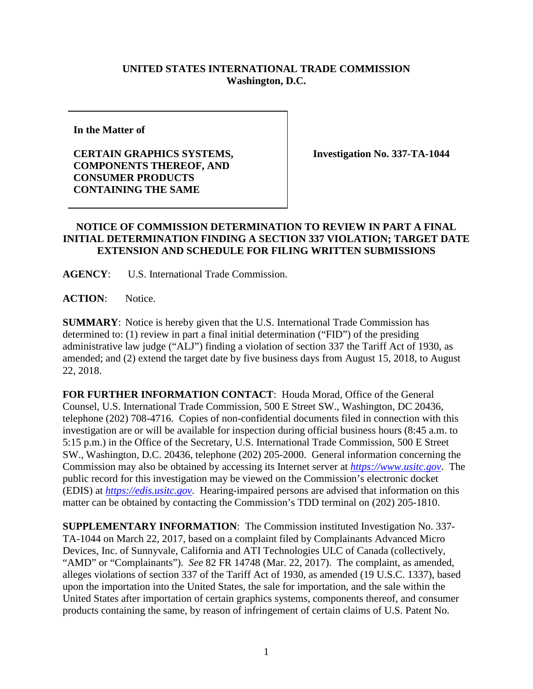## **UNITED STATES INTERNATIONAL TRADE COMMISSION Washington, D.C.**

**In the Matter of**

## **CERTAIN GRAPHICS SYSTEMS, COMPONENTS THEREOF, AND CONSUMER PRODUCTS CONTAINING THE SAME**

**Investigation No. 337-TA-1044**

## **NOTICE OF COMMISSION DETERMINATION TO REVIEW IN PART A FINAL INITIAL DETERMINATION FINDING A SECTION 337 VIOLATION; TARGET DATE EXTENSION AND SCHEDULE FOR FILING WRITTEN SUBMISSIONS**

**AGENCY**: U.S. International Trade Commission.

**ACTION**: Notice.

**SUMMARY**: Notice is hereby given that the U.S. International Trade Commission has determined to: (1) review in part a final initial determination ("FID") of the presiding administrative law judge ("ALJ") finding a violation of section 337 the Tariff Act of 1930, as amended; and (2) extend the target date by five business days from August 15, 2018, to August 22, 2018.

**FOR FURTHER INFORMATION CONTACT**: Houda Morad, Office of the General Counsel, U.S. International Trade Commission, 500 E Street SW., Washington, DC 20436, telephone (202) 708-4716. Copies of non-confidential documents filed in connection with this investigation are or will be available for inspection during official business hours (8:45 a.m. to 5:15 p.m.) in the Office of the Secretary, U.S. International Trade Commission, 500 E Street SW., Washington, D.C. 20436, telephone (202) 205-2000. General information concerning the Commission may also be obtained by accessing its Internet server at *[https://www.usitc.gov](https://www.usitc.gov/)*. The public record for this investigation may be viewed on the Commission's electronic docket (EDIS) at *[https://edis.usitc.gov](http://edis.usitc.gov/)*. Hearing-impaired persons are advised that information on this matter can be obtained by contacting the Commission's TDD terminal on (202) 205-1810.

**SUPPLEMENTARY INFORMATION**: The Commission instituted Investigation No. 337- TA-1044 on March 22, 2017, based on a complaint filed by Complainants Advanced Micro Devices, Inc. of Sunnyvale, California and ATI Technologies ULC of Canada (collectively, "AMD" or "Complainants"). *See* 82 FR 14748 (Mar. 22, 2017). The complaint, as amended, alleges violations of section 337 of the Tariff Act of 1930, as amended (19 U.S.C. 1337), based upon the importation into the United States, the sale for importation, and the sale within the United States after importation of certain graphics systems, components thereof, and consumer products containing the same, by reason of infringement of certain claims of U.S. Patent No.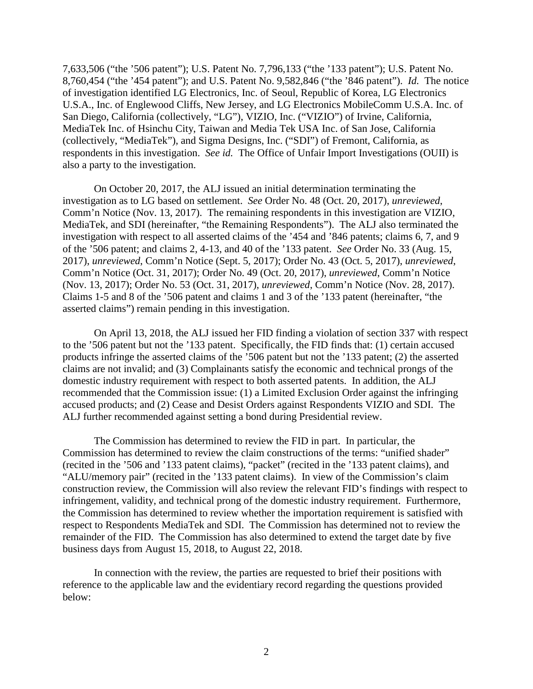7,633,506 ("the '506 patent"); U.S. Patent No. 7,796,133 ("the '133 patent"); U.S. Patent No. 8,760,454 ("the '454 patent"); and U.S. Patent No. 9,582,846 ("the '846 patent"). *Id.* The notice of investigation identified LG Electronics, Inc. of Seoul, Republic of Korea, LG Electronics U.S.A., Inc. of Englewood Cliffs, New Jersey, and LG Electronics MobileComm U.S.A. Inc. of San Diego, California (collectively, "LG"), VIZIO, Inc. ("VIZIO") of Irvine, California, MediaTek Inc. of Hsinchu City, Taiwan and Media Tek USA Inc. of San Jose, California (collectively, "MediaTek"), and Sigma Designs, Inc. ("SDI") of Fremont, California, as respondents in this investigation. *See id.* The Office of Unfair Import Investigations (OUII) is also a party to the investigation.

On October 20, 2017, the ALJ issued an initial determination terminating the investigation as to LG based on settlement. *See* Order No. 48 (Oct. 20, 2017), *unreviewed*, Comm'n Notice (Nov. 13, 2017). The remaining respondents in this investigation are VIZIO, MediaTek, and SDI (hereinafter, "the Remaining Respondents"). The ALJ also terminated the investigation with respect to all asserted claims of the '454 and '846 patents; claims 6, 7, and 9 of the '506 patent; and claims 2, 4-13, and 40 of the '133 patent. *See* Order No. 33 (Aug. 15, 2017), *unreviewed*, Comm'n Notice (Sept. 5, 2017); Order No. 43 (Oct. 5, 2017), *unreviewed*, Comm'n Notice (Oct. 31, 2017); Order No. 49 (Oct. 20, 2017), *unreviewed*, Comm'n Notice (Nov. 13, 2017); Order No. 53 (Oct. 31, 2017), *unreviewed*, Comm'n Notice (Nov. 28, 2017). Claims 1-5 and 8 of the '506 patent and claims 1 and 3 of the '133 patent (hereinafter, "the asserted claims") remain pending in this investigation.

On April 13, 2018, the ALJ issued her FID finding a violation of section 337 with respect to the '506 patent but not the '133 patent. Specifically, the FID finds that: (1) certain accused products infringe the asserted claims of the '506 patent but not the '133 patent; (2) the asserted claims are not invalid; and (3) Complainants satisfy the economic and technical prongs of the domestic industry requirement with respect to both asserted patents. In addition, the ALJ recommended that the Commission issue: (1) a Limited Exclusion Order against the infringing accused products; and (2) Cease and Desist Orders against Respondents VIZIO and SDI. The ALJ further recommended against setting a bond during Presidential review.

The Commission has determined to review the FID in part. In particular, the Commission has determined to review the claim constructions of the terms: "unified shader" (recited in the '506 and '133 patent claims), "packet" (recited in the '133 patent claims), and "ALU/memory pair" (recited in the '133 patent claims). In view of the Commission's claim construction review, the Commission will also review the relevant FID's findings with respect to infringement, validity, and technical prong of the domestic industry requirement. Furthermore, the Commission has determined to review whether the importation requirement is satisfied with respect to Respondents MediaTek and SDI. The Commission has determined not to review the remainder of the FID. The Commission has also determined to extend the target date by five business days from August 15, 2018, to August 22, 2018.

In connection with the review, the parties are requested to brief their positions with reference to the applicable law and the evidentiary record regarding the questions provided below: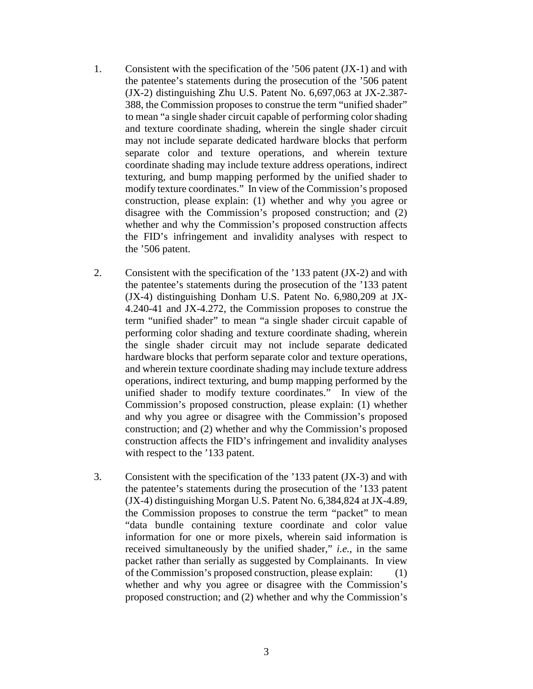- 1. Consistent with the specification of the '506 patent (JX-1) and with the patentee's statements during the prosecution of the '506 patent (JX-2) distinguishing Zhu U.S. Patent No. 6,697,063 at JX-2.387- 388, the Commission proposes to construe the term "unified shader" to mean "a single shader circuit capable of performing color shading and texture coordinate shading, wherein the single shader circuit may not include separate dedicated hardware blocks that perform separate color and texture operations, and wherein texture coordinate shading may include texture address operations, indirect texturing, and bump mapping performed by the unified shader to modify texture coordinates." In view of the Commission's proposed construction, please explain: (1) whether and why you agree or disagree with the Commission's proposed construction; and (2) whether and why the Commission's proposed construction affects the FID's infringement and invalidity analyses with respect to the '506 patent.
- 2. Consistent with the specification of the '133 patent (JX-2) and with the patentee's statements during the prosecution of the '133 patent (JX-4) distinguishing Donham U.S. Patent No. 6,980,209 at JX-4.240-41 and JX-4.272, the Commission proposes to construe the term "unified shader" to mean "a single shader circuit capable of performing color shading and texture coordinate shading, wherein the single shader circuit may not include separate dedicated hardware blocks that perform separate color and texture operations, and wherein texture coordinate shading may include texture address operations, indirect texturing, and bump mapping performed by the unified shader to modify texture coordinates." In view of the Commission's proposed construction, please explain: (1) whether and why you agree or disagree with the Commission's proposed construction; and (2) whether and why the Commission's proposed construction affects the FID's infringement and invalidity analyses with respect to the '133 patent.
- 3. Consistent with the specification of the '133 patent (JX-3) and with the patentee's statements during the prosecution of the '133 patent (JX-4) distinguishing Morgan U.S. Patent No. 6,384,824 at JX-4.89, the Commission proposes to construe the term "packet" to mean "data bundle containing texture coordinate and color value information for one or more pixels, wherein said information is received simultaneously by the unified shader," *i.e.*, in the same packet rather than serially as suggested by Complainants. In view of the Commission's proposed construction, please explain: (1) whether and why you agree or disagree with the Commission's proposed construction; and (2) whether and why the Commission's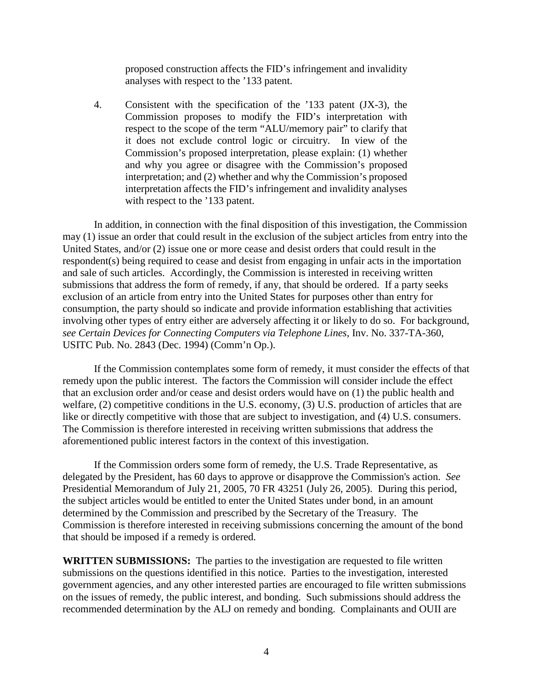proposed construction affects the FID's infringement and invalidity analyses with respect to the '133 patent.

4. Consistent with the specification of the '133 patent (JX-3), the Commission proposes to modify the FID's interpretation with respect to the scope of the term "ALU/memory pair" to clarify that it does not exclude control logic or circuitry. In view of the Commission's proposed interpretation, please explain: (1) whether and why you agree or disagree with the Commission's proposed interpretation; and (2) whether and why the Commission's proposed interpretation affects the FID's infringement and invalidity analyses with respect to the '133 patent.

In addition, in connection with the final disposition of this investigation, the Commission may (1) issue an order that could result in the exclusion of the subject articles from entry into the United States, and/or (2) issue one or more cease and desist orders that could result in the respondent(s) being required to cease and desist from engaging in unfair acts in the importation and sale of such articles. Accordingly, the Commission is interested in receiving written submissions that address the form of remedy, if any, that should be ordered. If a party seeks exclusion of an article from entry into the United States for purposes other than entry for consumption, the party should so indicate and provide information establishing that activities involving other types of entry either are adversely affecting it or likely to do so. For background, *see Certain Devices for Connecting Computers via Telephone Lines*, Inv. No. 337-TA-360, USITC Pub. No. 2843 (Dec. 1994) (Comm'n Op.).

If the Commission contemplates some form of remedy, it must consider the effects of that remedy upon the public interest. The factors the Commission will consider include the effect that an exclusion order and/or cease and desist orders would have on (1) the public health and welfare, (2) competitive conditions in the U.S. economy, (3) U.S. production of articles that are like or directly competitive with those that are subject to investigation, and (4) U.S. consumers. The Commission is therefore interested in receiving written submissions that address the aforementioned public interest factors in the context of this investigation.

If the Commission orders some form of remedy, the U.S. Trade Representative, as delegated by the President, has 60 days to approve or disapprove the Commission's action. *See*  Presidential Memorandum of July 21, 2005, 70 FR 43251 (July 26, 2005). During this period, the subject articles would be entitled to enter the United States under bond, in an amount determined by the Commission and prescribed by the Secretary of the Treasury. The Commission is therefore interested in receiving submissions concerning the amount of the bond that should be imposed if a remedy is ordered.

**WRITTEN SUBMISSIONS:** The parties to the investigation are requested to file written submissions on the questions identified in this notice. Parties to the investigation, interested government agencies, and any other interested parties are encouraged to file written submissions on the issues of remedy, the public interest, and bonding. Such submissions should address the recommended determination by the ALJ on remedy and bonding. Complainants and OUII are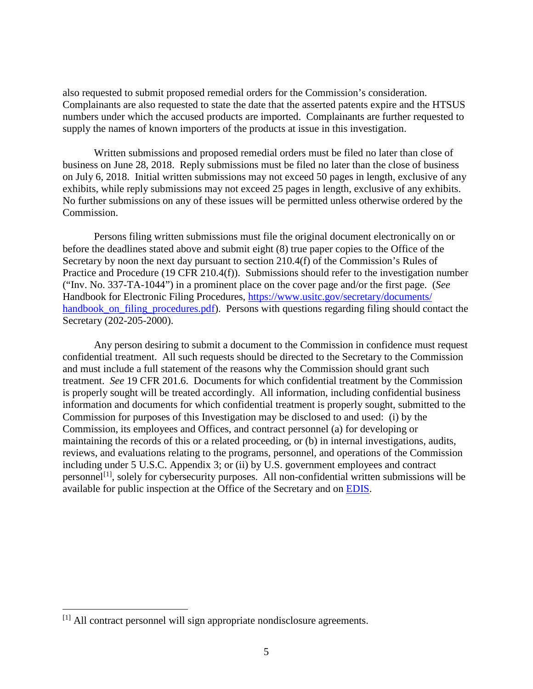also requested to submit proposed remedial orders for the Commission's consideration. Complainants are also requested to state the date that the asserted patents expire and the HTSUS numbers under which the accused products are imported. Complainants are further requested to supply the names of known importers of the products at issue in this investigation.

Written submissions and proposed remedial orders must be filed no later than close of business on June 28, 2018. Reply submissions must be filed no later than the close of business on July 6, 2018. Initial written submissions may not exceed 50 pages in length, exclusive of any exhibits, while reply submissions may not exceed 25 pages in length, exclusive of any exhibits. No further submissions on any of these issues will be permitted unless otherwise ordered by the Commission.

Persons filing written submissions must file the original document electronically on or before the deadlines stated above and submit eight (8) true paper copies to the Office of the Secretary by noon the next day pursuant to section 210.4(f) of the Commission's Rules of Practice and Procedure (19 CFR 210.4(f)). Submissions should refer to the investigation number ("Inv. No. 337-TA-1044") in a prominent place on the cover page and/or the first page. (*See* Handbook for Electronic Filing Procedures, [https://www.usitc.gov/secretary/documents/](https://www.usitc.gov/secretary/documents/%20handbook_on_filing_procedures.pdf)  [handbook\\_on\\_filing\\_procedures.pdf\)](https://www.usitc.gov/secretary/documents/%20handbook_on_filing_procedures.pdf). Persons with questions regarding filing should contact the Secretary (202-205-2000).

Any person desiring to submit a document to the Commission in confidence must request confidential treatment. All such requests should be directed to the Secretary to the Commission and must include a full statement of the reasons why the Commission should grant such treatment. *See* 19 CFR 201.6. Documents for which confidential treatment by the Commission is properly sought will be treated accordingly. All information, including confidential business information and documents for which confidential treatment is properly sought, submitted to the Commission for purposes of this Investigation may be disclosed to and used: (i) by the Commission, its employees and Offices, and contract personnel (a) for developing or maintaining the records of this or a related proceeding, or (b) in internal investigations, audits, reviews, and evaluations relating to the programs, personnel, and operations of the Commission including under 5 U.S.C. Appendix 3; or (ii) by U.S. government employees and contract personnel<sup>[1]</sup>, solely for cybersecurity purposes. All non-confidential written submissions will be available for public inspection at the Office of the Secretary and on [EDIS.](http://edis.usitc.gov/)

<span id="page-4-0"></span> <sup>[1]</sup> All contract personnel will sign appropriate nondisclosure agreements.